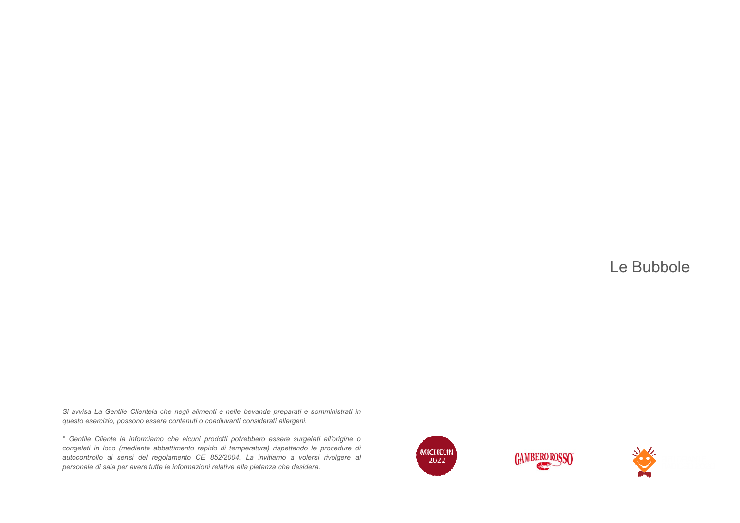*Si avvisa La Gentile Clientela che negli alimenti e nelle bevande preparati e somministrati in questo esercizio, possono essere contenuti o coadiuvanti considerati allergeni.* Si avvisa La Gentile Clientela che negli alimenti e nelle bevande preparati e somministrati in<br>questo esercizio, possono essere contenuti o coadiuvanti considerati allergeni.<br>° Gentile Cliente la informiamo che alcuni prod

 *congelati in loco (mediante abbattimento rapido di temperatura) rispettando le procedure di autocontrollo ai sensi del regolamento CE 852/2004. La invitiamo a volersi rivolgere al personale di sala per avere tutte le informazioni relative alla pietanza che desidera.***Bentife Clientels che negli alimenti e nelle bevande preparati e somministrati in**<br>*di ai submortion di ai sensi del ai sensi del sensi del segen.*<br>le la submortion con le significante provide di americanium) rispettando